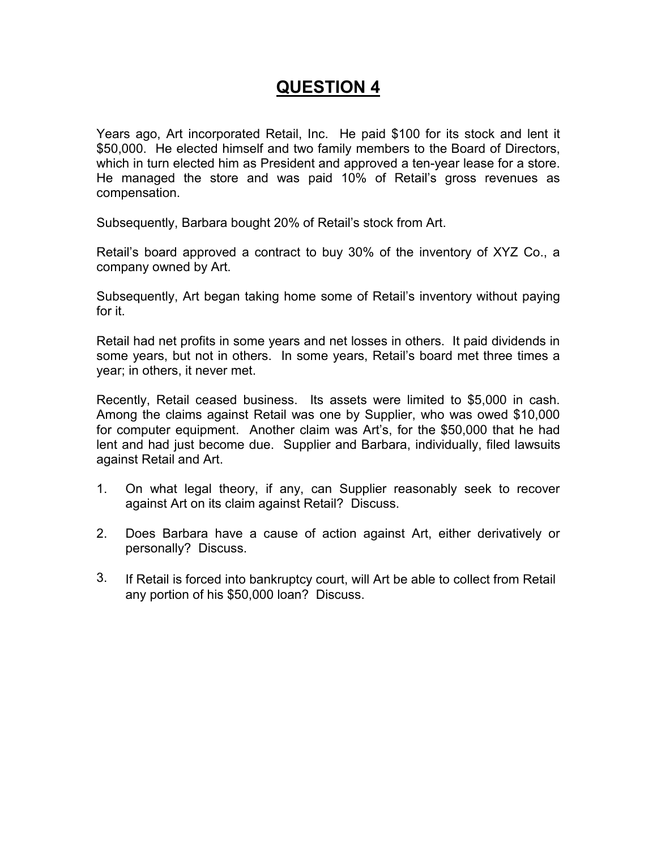# **QUESTION 4**

Years ago, Art incorporated Retail, Inc. He paid \$100 for its stock and lent it \$50,000. He elected himself and two family members to the Board of Directors, which in turn elected him as President and approved a ten-year lease for a store. He managed the store and was paid 10% of Retail's gross revenues as compensation.

Subsequently, Barbara bought 20% of Retail's stock from Art.

Retail's board approved a contract to buy 30% of the inventory of XYZ Co., a company owned by Art.

Subsequently, Art began taking home some of Retail's inventory without paying for it.

Retail had net profits in some years and net losses in others. It paid dividends in some years, but not in others. In some years, Retail's board met three times a year; in others, it never met.

Recently, Retail ceased business. Its assets were limited to \$5,000 in cash. Among the claims against Retail was one by Supplier, who was owed \$10,000 for computer equipment. Another claim was Art's, for the \$50,000 that he had lent and had just become due. Supplier and Barbara, individually, filed lawsuits against Retail and Art.

- 1. On what legal theory, if any, can Supplier reasonably seek to recover against Art on its claim against Retail? Discuss.
- 2. Does Barbara have a cause of action against Art, either derivatively or personally? Discuss.
- 3. If Retail is forced into bankruptcy court, will Art be able to collect from Retail any portion of his \$50,000 loan? Discuss.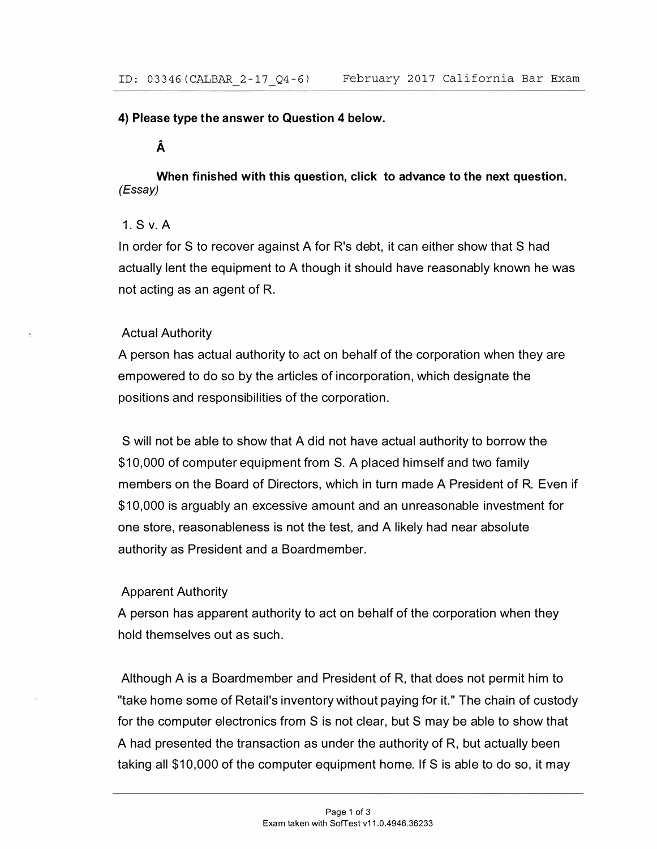#### **4) Please type the answer to Question 4 below.**

# **A**

**When finished with this question, click to advance to the next question.**  *(Essay)* 

## **1. S v. A**

In order for S to recover against A for R's debt, it can either show that S had actually lent the equipment to A though it should have reasonably known he was not acting as an agent of R.

### Actual Authority

A person has actual authority to act on behalf of the corporation when they are empowered to do so by the articles of incorporation, which designate the positions and responsibilities of the corporation.

S will not be able to show that A did not have actual authority to borrow the \$10,000 of computer equipment from S. A placed himself and two family members on the Board of Directors, which in turn made A President of R. Even if \$10,000 is arguably an excessive amount and an unreasonable investment for one store, reasonableness is not the test, and A likely had near absolute authority as President and a Boardmember.

## Apparent Authority

A person has apparent authority to act on behalf of the corporation when they hold themselves out as such.

Although A is a Boardmember and President of R, that does not permit him to "take home some of Retail's inventory without paying for it." The chain of custody for the computer electronics from S is not clear, but S may be able to show that A had presented the transaction as under the authority of R, but actually been taking all \$10,000 of the computer equipment home. If S is able to do so, it may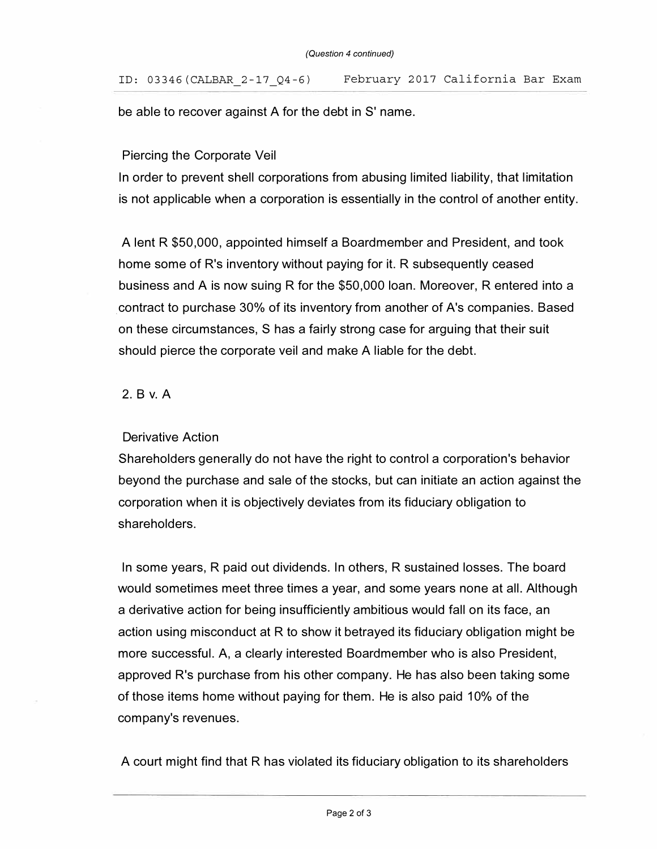be able to recover against A for the debt in S' name.

### Piercing the Corporate Veil

In order to prevent shell corporations from abusing limited liability, that limitation is not applicable when a corporation is essentially in the control of another entity.

A lent R \$50,000, appointed himself a Boardmember and President, and took home some of R's inventory without paying for it. R subsequently ceased business and A is now suing R for the \$50,000 loan. Moreover, R entered into a . contract to purchase 30% of its inventory from another of A 's companies. Based on these circumstances, S has a fairly strong case for arguing that their suit should pierce the corporate veil and make A liable for the debt.

## **2. B v. A**

#### Derivative Action

Shareholders generally do not have the right to control a corporation's behavior beyond the purchase and sale of the stocks, but can initiate an action against the corporation when it is objectively deviates from its fiduciary obligation to shareholders.

In some years, R paid out dividends. In others, R sustained losses. The board would sometimes meet three times a year, and some years none at all. Although a derivative action for being insufficiently ambitious would fall on its face, an action using misconduct at R to show it betrayed its fiduciary obligation might be more successful. A, a clearly interested Boardmember who is also President, approved R's purchase from his other company. He has also been taking some of those items home without paying for them. He is also paid 10% of the company's revenues.

A court might find that R has violated its fiduciary obligation to its shareholders